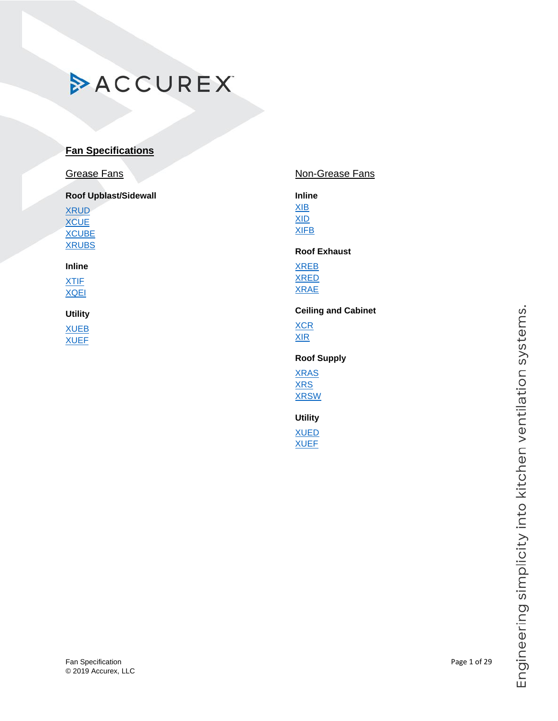### Fan Specification **Page 1 of 29** © 2019 Accurex, LLC

| Non-GI                                     |
|--------------------------------------------|
| <b>Inline</b><br>XIB<br>XID<br><b>XIFB</b> |

### **[XCUBE](#page-2-0) [XRUBS](#page-5-0)**

[XRUD](#page-3-0) **[XCUE](#page-1-0)** 

**Fan Specifications**

**ACCUREX** 

**Roof Upblast/Sidewall**

Grease Fans

**Inline** [XTIF](#page-6-0)

[XQEI](#page-9-0)

## **Utility**

[XUEB](#page-11-0) **[XUEF](#page-27-0)** 

## rease Fans

### **Roof Exhaust**

[XREB](#page-17-0) [XRED](#page-19-0) [XRAE](#page-20-0)

### **Ceiling and Cabinet**

**[XCR](#page-21-0)** [XIR](#page-22-0)

### **Roof Supply**

[XRAS](#page-23-0) [XRS](#page-24-0) [XRSW](#page-25-0)

**Utility** [XUED](#page-26-0)

[XUEF](#page-27-0)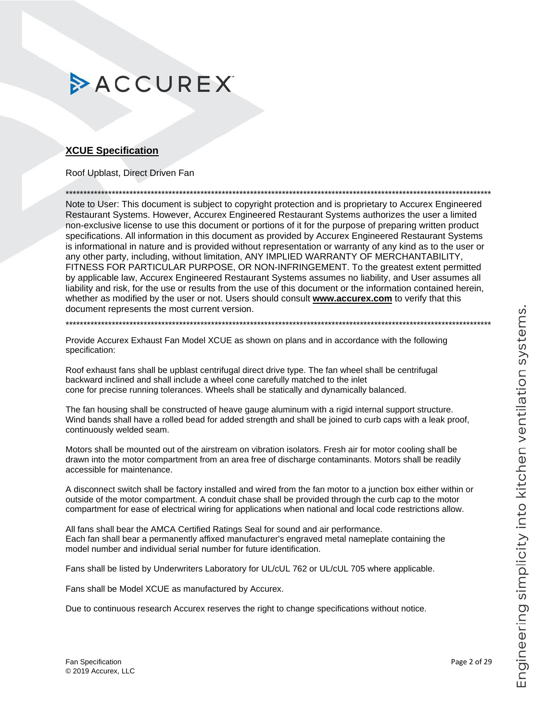### <span id="page-1-0"></span>**XCUE Specification**

Roof Upblast, Direct Driven Fan

Note to User: This document is subject to copyright protection and is proprietary to Accurex Engineered Restaurant Systems. However, Accurex Engineered Restaurant Systems authorizes the user a limited non-exclusive license to use this document or portions of it for the purpose of preparing written product specifications. All information in this document as provided by Accurex Engineered Restaurant Systems is informational in nature and is provided without representation or warranty of any kind as to the user or any other party, including, without limitation, ANY IMPLIED WARRANTY OF MERCHANTABILITY, FITNESS FOR PARTICULAR PURPOSE, OR NON-INFRINGEMENT. To the greatest extent permitted by applicable law, Accurex Engineered Restaurant Systems assumes no liability, and User assumes all liability and risk, for the use or results from the use of this document or the information contained herein, whether as modified by the user or not. Users should consult www.accurex.com to verify that this document represents the most current version.

Provide Accurex Exhaust Fan Model XCUE as shown on plans and in accordance with the following specification:

Roof exhaust fans shall be upblast centrifugal direct drive type. The fan wheel shall be centrifugal backward inclined and shall include a wheel cone carefully matched to the inlet cone for precise running tolerances. Wheels shall be statically and dynamically balanced.

The fan housing shall be constructed of heave gauge aluminum with a rigid internal support structure. Wind bands shall have a rolled bead for added strength and shall be joined to curb caps with a leak proof, continuously welded seam.

Motors shall be mounted out of the airstream on vibration isolators. Fresh air for motor cooling shall be drawn into the motor compartment from an area free of discharge contaminants. Motors shall be readily accessible for maintenance.

A disconnect switch shall be factory installed and wired from the fan motor to a junction box either within or outside of the motor compartment. A conduit chase shall be provided through the curb cap to the motor compartment for ease of electrical wiring for applications when national and local code restrictions allow.

All fans shall bear the AMCA Certified Ratings Seal for sound and air performance. Each fan shall bear a permanently affixed manufacturer's engraved metal nameplate containing the model number and individual serial number for future identification.

Fans shall be listed by Underwriters Laboratory for UL/cUL 762 or UL/cUL 705 where applicable.

Fans shall be Model XCUE as manufactured by Accurex.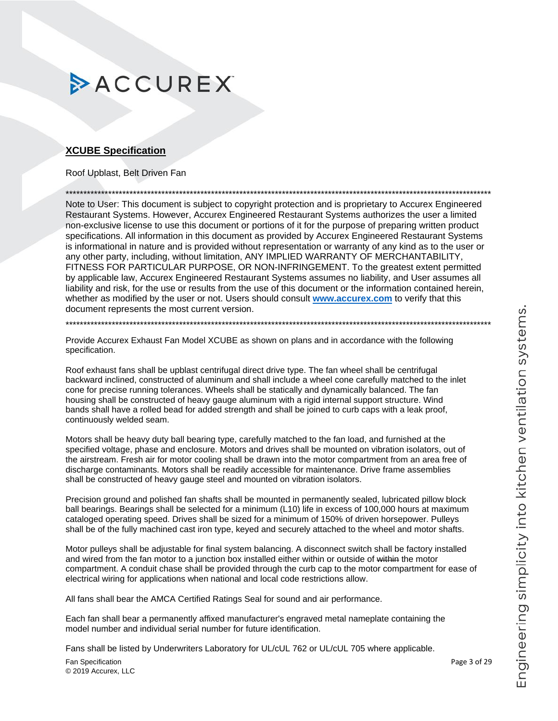### <span id="page-2-0"></span>**XCUBE Specification**

### Roof Upblast, Belt Driven Fan

Note to User: This document is subject to copyright protection and is proprietary to Accurex Engineered Restaurant Systems. However, Accurex Engineered Restaurant Systems authorizes the user a limited non-exclusive license to use this document or portions of it for the purpose of preparing written product specifications. All information in this document as provided by Accurex Engineered Restaurant Systems is informational in nature and is provided without representation or warranty of any kind as to the user or any other party, including, without limitation, ANY IMPLIED WARRANTY OF MERCHANTABILITY, FITNESS FOR PARTICULAR PURPOSE, OR NON-INFRINGEMENT. To the greatest extent permitted by applicable law, Accurex Engineered Restaurant Systems assumes no liability, and User assumes all liability and risk, for the use or results from the use of this document or the information contained herein, whether as modified by the user or not. Users should consult www.accurex.com to verify that this document represents the most current version.

Provide Accurex Exhaust Fan Model XCUBE as shown on plans and in accordance with the following specification.

Roof exhaust fans shall be upblast centrifugal direct drive type. The fan wheel shall be centrifugal backward inclined, constructed of aluminum and shall include a wheel cone carefully matched to the inlet cone for precise running tolerances. Wheels shall be statically and dynamically balanced. The fan housing shall be constructed of heavy gauge aluminum with a rigid internal support structure. Wind bands shall have a rolled bead for added strength and shall be joined to curb caps with a leak proof, continuously welded seam.

Motors shall be heavy duty ball bearing type, carefully matched to the fan load, and furnished at the specified voltage, phase and enclosure. Motors and drives shall be mounted on vibration isolators, out of the airstream. Fresh air for motor cooling shall be drawn into the motor compartment from an area free of discharge contaminants. Motors shall be readily accessible for maintenance. Drive frame assemblies shall be constructed of heavy gauge steel and mounted on vibration isolators.

Precision ground and polished fan shafts shall be mounted in permanently sealed, lubricated pillow block ball bearings. Bearings shall be selected for a minimum (L10) life in excess of 100,000 hours at maximum cataloged operating speed. Drives shall be sized for a minimum of 150% of driven horsepower. Pulleys shall be of the fully machined cast iron type, keyed and securely attached to the wheel and motor shafts.

Motor pulleys shall be adjustable for final system balancing. A disconnect switch shall be factory installed and wired from the fan motor to a junction box installed either within or outside of within the motor compartment. A conduit chase shall be provided through the curb cap to the motor compartment for ease of electrical wiring for applications when national and local code restrictions allow.

All fans shall bear the AMCA Certified Ratings Seal for sound and air performance.

Each fan shall bear a permanently affixed manufacturer's engraved metal nameplate containing the model number and individual serial number for future identification.

Fans shall be listed by Underwriters Laboratory for UL/cUL 762 or UL/cUL 705 where applicable.

Fan Specification © 2019 Accurex, LLC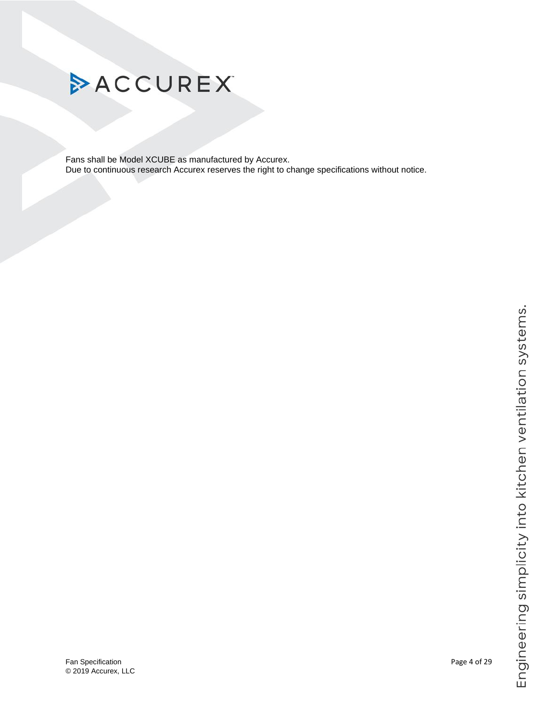

<span id="page-3-0"></span>Fans shall be Model XCUBE as manufactured by Accurex. Due to continuous research Accurex reserves the right to change specifications without notice.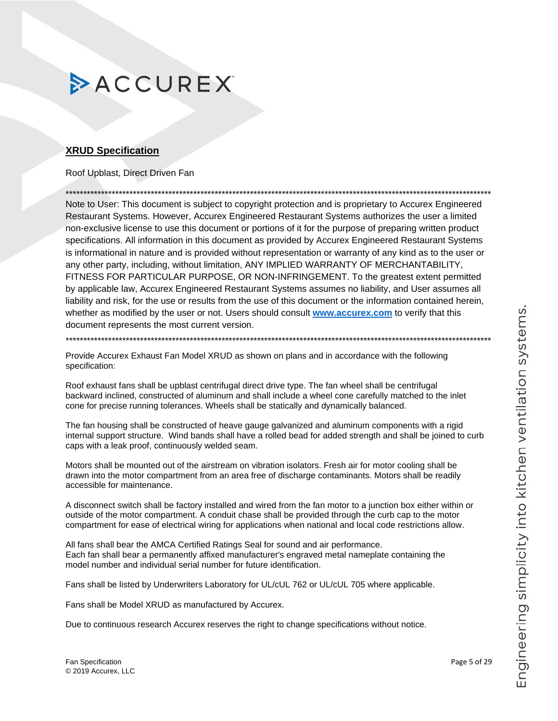### **XRUD Specification**

### Roof Upblast, Direct Driven Fan

Note to User: This document is subject to copyright protection and is proprietary to Accurex Engineered Restaurant Systems. However, Accurex Engineered Restaurant Systems authorizes the user a limited non-exclusive license to use this document or portions of it for the purpose of preparing written product specifications. All information in this document as provided by Accurex Engineered Restaurant Systems is informational in nature and is provided without representation or warranty of any kind as to the user or any other party, including, without limitation, ANY IMPLIED WARRANTY OF MERCHANTABILITY, FITNESS FOR PARTICULAR PURPOSE, OR NON-INFRINGEMENT. To the greatest extent permitted by applicable law, Accurex Engineered Restaurant Systems assumes no liability, and User assumes all liability and risk, for the use or results from the use of this document or the information contained herein, whether as modified by the user or not. Users should consult www.accurex.com to verify that this document represents the most current version.

Provide Accurex Exhaust Fan Model XRUD as shown on plans and in accordance with the following specification:

Roof exhaust fans shall be upblast centrifugal direct drive type. The fan wheel shall be centrifugal backward inclined, constructed of aluminum and shall include a wheel cone carefully matched to the inlet cone for precise running tolerances. Wheels shall be statically and dynamically balanced.

The fan housing shall be constructed of heave gauge galvanized and aluminum components with a rigid internal support structure. Wind bands shall have a rolled bead for added strength and shall be joined to curb caps with a leak proof, continuously welded seam.

Motors shall be mounted out of the airstream on vibration isolators. Fresh air for motor cooling shall be drawn into the motor compartment from an area free of discharge contaminants. Motors shall be readily accessible for maintenance.

A disconnect switch shall be factory installed and wired from the fan motor to a junction box either within or outside of the motor compartment. A conduit chase shall be provided through the curb cap to the motor compartment for ease of electrical wiring for applications when national and local code restrictions allow.

All fans shall bear the AMCA Certified Ratings Seal for sound and air performance. Each fan shall bear a permanently affixed manufacturer's engraved metal nameplate containing the model number and individual serial number for future identification.

Fans shall be listed by Underwriters Laboratory for UL/cUL 762 or UL/cUL 705 where applicable.

Fans shall be Model XRUD as manufactured by Accurex.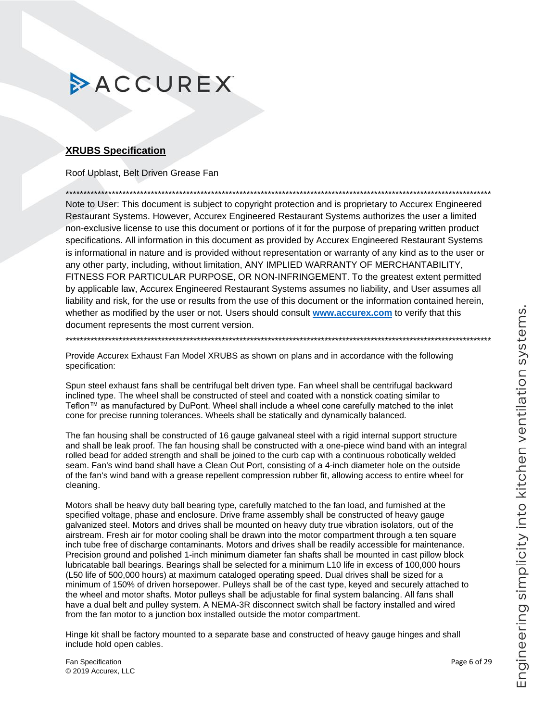### <span id="page-5-0"></span>**XRUBS Specification**

Roof Upblast, Belt Driven Grease Fan

Note to User: This document is subject to copyright protection and is proprietary to Accurex Engineered Restaurant Systems. However, Accurex Engineered Restaurant Systems authorizes the user a limited non-exclusive license to use this document or portions of it for the purpose of preparing written product specifications. All information in this document as provided by Accurex Engineered Restaurant Systems is informational in nature and is provided without representation or warranty of any kind as to the user or any other party, including, without limitation, ANY IMPLIED WARRANTY OF MERCHANTABILITY, FITNESS FOR PARTICULAR PURPOSE, OR NON-INFRINGEMENT. To the greatest extent permitted by applicable law, Accurex Engineered Restaurant Systems assumes no liability, and User assumes all liability and risk, for the use or results from the use of this document or the information contained herein, whether as modified by the user or not. Users should consult www.accurex.com to verify that this document represents the most current version.

Provide Accurex Exhaust Fan Model XRUBS as shown on plans and in accordance with the following specification:

Spun steel exhaust fans shall be centrifugal belt driven type. Fan wheel shall be centrifugal backward inclined type. The wheel shall be constructed of steel and coated with a nonstick coating similar to Teflon™ as manufactured by DuPont. Wheel shall include a wheel cone carefully matched to the inlet cone for precise running tolerances. Wheels shall be statically and dynamically balanced.

The fan housing shall be constructed of 16 gauge galvaneal steel with a rigid internal support structure and shall be leak proof. The fan housing shall be constructed with a one-piece wind band with an integral rolled bead for added strength and shall be joined to the curb cap with a continuous robotically welded seam. Fan's wind band shall have a Clean Out Port, consisting of a 4-inch diameter hole on the outside of the fan's wind band with a grease repellent compression rubber fit, allowing access to entire wheel for cleaning.

Motors shall be heavy duty ball bearing type, carefully matched to the fan load, and furnished at the specified voltage, phase and enclosure. Drive frame assembly shall be constructed of heavy gauge galvanized steel. Motors and drives shall be mounted on heavy duty true vibration isolators, out of the airstream. Fresh air for motor cooling shall be drawn into the motor compartment through a ten square inch tube free of discharge contaminants. Motors and drives shall be readily accessible for maintenance. Precision ground and polished 1-inch minimum diameter fan shafts shall be mounted in cast pillow block lubricatable ball bearings. Bearings shall be selected for a minimum L10 life in excess of 100,000 hours (L50 life of 500,000 hours) at maximum cataloged operating speed. Dual drives shall be sized for a minimum of 150% of driven horsepower. Pulleys shall be of the cast type, keyed and securely attached to the wheel and motor shafts. Motor pulleys shall be adjustable for final system balancing. All fans shall have a dual belt and pulley system. A NEMA-3R disconnect switch shall be factory installed and wired from the fan motor to a junction box installed outside the motor compartment.

Hinge kit shall be factory mounted to a separate base and constructed of heavy gauge hinges and shall include hold open cables.

Fan Specification © 2019 Accurex, LLC Page 6 of 29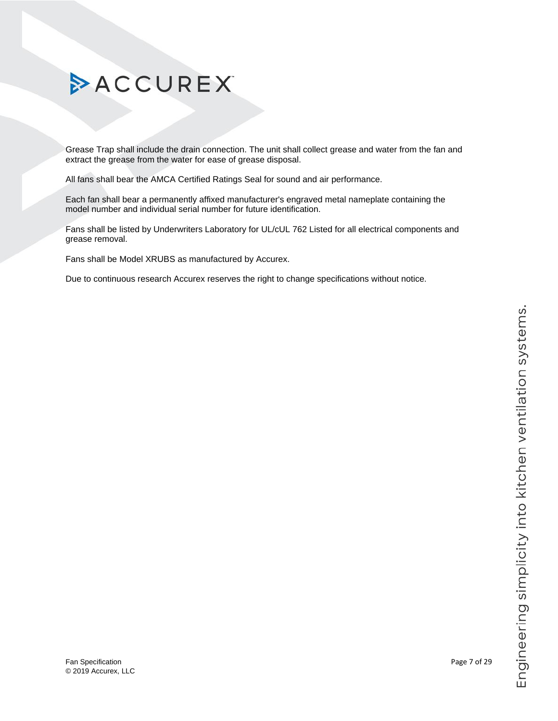# Engineering simplicity into kitchen ventilation systems.

# ACCUREX

Grease Trap shall include the drain connection. The unit shall collect grease and water from the fan and extract the grease from the water for ease of grease disposal.

All fans shall bear the AMCA Certified Ratings Seal for sound and air performance.

Each fan shall bear a permanently affixed manufacturer's engraved metal nameplate containing the model number and individual serial number for future identification.

Fans shall be listed by Underwriters Laboratory for UL/cUL 762 Listed for all electrical components and grease removal.

<span id="page-6-0"></span>Fans shall be Model XRUBS as manufactured by Accurex.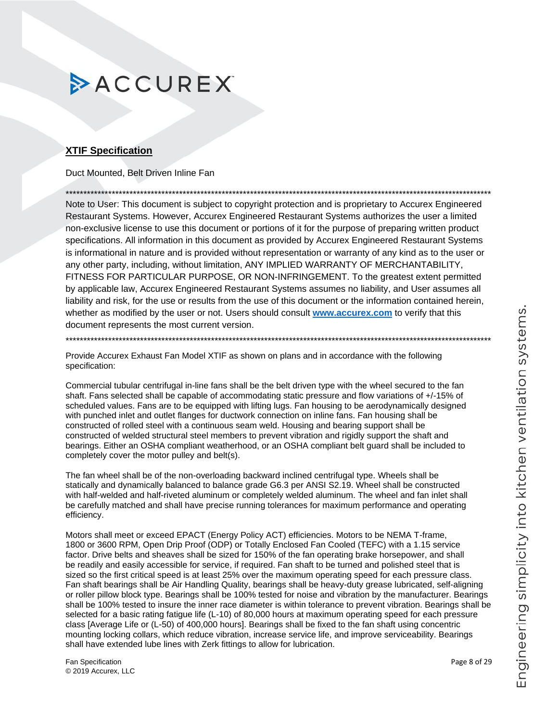### **XTIF Specification**

Duct Mounted, Belt Driven Inline Fan

Note to User: This document is subject to copyright protection and is proprietary to Accurex Engineered Restaurant Systems. However, Accurex Engineered Restaurant Systems authorizes the user a limited non-exclusive license to use this document or portions of it for the purpose of preparing written product specifications. All information in this document as provided by Accurex Engineered Restaurant Systems is informational in nature and is provided without representation or warranty of any kind as to the user or any other party, including, without limitation, ANY IMPLIED WARRANTY OF MERCHANTABILITY, FITNESS FOR PARTICULAR PURPOSE, OR NON-INFRINGEMENT. To the greatest extent permitted by applicable law, Accurex Engineered Restaurant Systems assumes no liability, and User assumes all liability and risk, for the use or results from the use of this document or the information contained herein, whether as modified by the user or not. Users should consult www.accurex.com to verify that this document represents the most current version.

Provide Accurex Exhaust Fan Model XTIF as shown on plans and in accordance with the following specification:

Commercial tubular centrifugal in-line fans shall be the belt driven type with the wheel secured to the fan shaft. Fans selected shall be capable of accommodating static pressure and flow variations of +/-15% of scheduled values. Fans are to be equipped with lifting lugs. Fan housing to be aerodynamically designed with punched inlet and outlet flanges for ductwork connection on inline fans. Fan housing shall be constructed of rolled steel with a continuous seam weld. Housing and bearing support shall be constructed of welded structural steel members to prevent vibration and rigidly support the shaft and bearings. Either an OSHA compliant weatherhood, or an OSHA compliant belt guard shall be included to completely cover the motor pulley and belt(s).

The fan wheel shall be of the non-overloading backward inclined centrifugal type. Wheels shall be statically and dynamically balanced to balance grade G6.3 per ANSI S2.19. Wheel shall be constructed with half-welded and half-riveted aluminum or completely welded aluminum. The wheel and fan inlet shall be carefully matched and shall have precise running tolerances for maximum performance and operating efficiency.

Motors shall meet or exceed EPACT (Energy Policy ACT) efficiencies. Motors to be NEMA T-frame, 1800 or 3600 RPM, Open Drip Proof (ODP) or Totally Enclosed Fan Cooled (TEFC) with a 1.15 service factor. Drive belts and sheaves shall be sized for 150% of the fan operating brake horsepower, and shall be readily and easily accessible for service, if required. Fan shaft to be turned and polished steel that is sized so the first critical speed is at least 25% over the maximum operating speed for each pressure class. Fan shaft bearings shall be Air Handling Quality, bearings shall be heavy-duty grease lubricated, self-aligning or roller pillow block type. Bearings shall be 100% tested for noise and vibration by the manufacturer. Bearings shall be 100% tested to insure the inner race diameter is within tolerance to prevent vibration. Bearings shall be selected for a basic rating fatigue life (L-10) of 80,000 hours at maximum operating speed for each pressure class [Average Life or (L-50) of 400,000 hours]. Bearings shall be fixed to the fan shaft using concentric mounting locking collars, which reduce vibration, increase service life, and improve serviceability. Bearings shall have extended lube lines with Zerk fittings to allow for lubrication.

Fan Specification © 2019 Accurex, LLC Page 8 of 29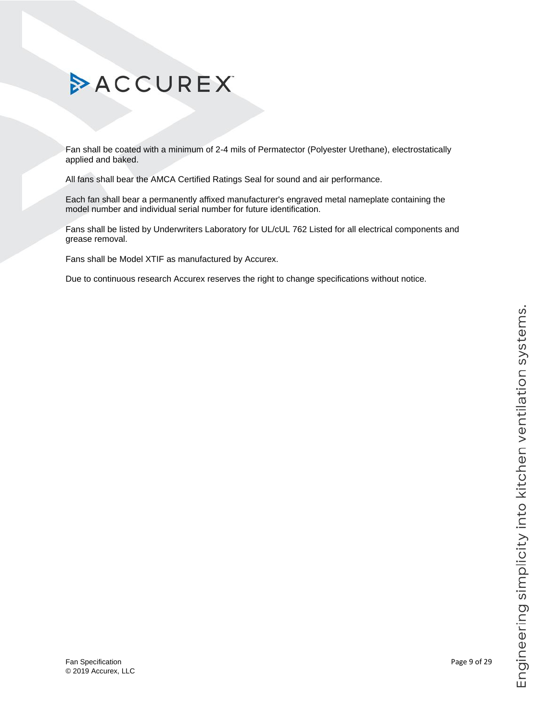# Engineering simplicity into kitchen ventilation systems.

# ACCUREX

Fan shall be coated with a minimum of 2-4 mils of Permatector (Polyester Urethane), electrostatically applied and baked.

All fans shall bear the AMCA Certified Ratings Seal for sound and air performance.

Each fan shall bear a permanently affixed manufacturer's engraved metal nameplate containing the model number and individual serial number for future identification.

Fans shall be listed by Underwriters Laboratory for UL/cUL 762 Listed for all electrical components and grease removal.

Fans shall be Model XTIF as manufactured by Accurex.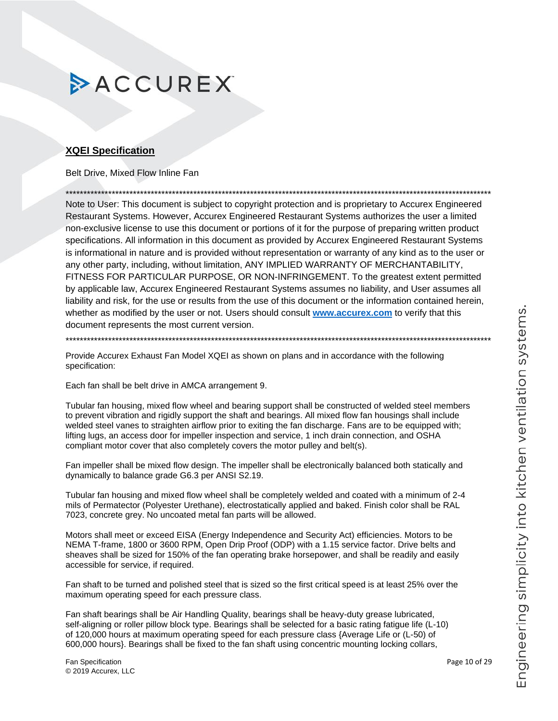### <span id="page-9-0"></span>**XQEI Specification**

Belt Drive, Mixed Flow Inline Fan

Note to User: This document is subject to copyright protection and is proprietary to Accurex Engineered Restaurant Systems. However, Accurex Engineered Restaurant Systems authorizes the user a limited non-exclusive license to use this document or portions of it for the purpose of preparing written product specifications. All information in this document as provided by Accurex Engineered Restaurant Systems is informational in nature and is provided without representation or warranty of any kind as to the user or any other party, including, without limitation, ANY IMPLIED WARRANTY OF MERCHANTABILITY, FITNESS FOR PARTICULAR PURPOSE, OR NON-INFRINGEMENT. To the greatest extent permitted by applicable law, Accurex Engineered Restaurant Systems assumes no liability, and User assumes all liability and risk, for the use or results from the use of this document or the information contained herein, whether as modified by the user or not. Users should consult www.accurex.com to verify that this document represents the most current version.

Provide Accurex Exhaust Fan Model XQEI as shown on plans and in accordance with the following specification:

Each fan shall be belt drive in AMCA arrangement 9.

Tubular fan housing, mixed flow wheel and bearing support shall be constructed of welded steel members to prevent vibration and rigidly support the shaft and bearings. All mixed flow fan housings shall include welded steel vanes to straighten airflow prior to exiting the fan discharge. Fans are to be equipped with; lifting lugs, an access door for impeller inspection and service, 1 inch drain connection, and OSHA compliant motor cover that also completely covers the motor pulley and belt(s).

Fan impeller shall be mixed flow design. The impeller shall be electronically balanced both statically and dynamically to balance grade G6.3 per ANSI S2.19.

Tubular fan housing and mixed flow wheel shall be completely welded and coated with a minimum of 2-4 mils of Permatector (Polyester Urethane), electrostatically applied and baked. Finish color shall be RAL 7023, concrete grey. No uncoated metal fan parts will be allowed.

Motors shall meet or exceed EISA (Energy Independence and Security Act) efficiencies. Motors to be NEMA T-frame, 1800 or 3600 RPM, Open Drip Proof (ODP) with a 1.15 service factor. Drive belts and sheaves shall be sized for 150% of the fan operating brake horsepower, and shall be readily and easily accessible for service, if required.

Fan shaft to be turned and polished steel that is sized so the first critical speed is at least 25% over the maximum operating speed for each pressure class.

Fan shaft bearings shall be Air Handling Quality, bearings shall be heavy-duty grease lubricated, self-aligning or roller pillow block type. Bearings shall be selected for a basic rating fatigue life (L-10) of 120,000 hours at maximum operating speed for each pressure class {Average Life or (L-50) of 600,000 hours}. Bearings shall be fixed to the fan shaft using concentric mounting locking collars,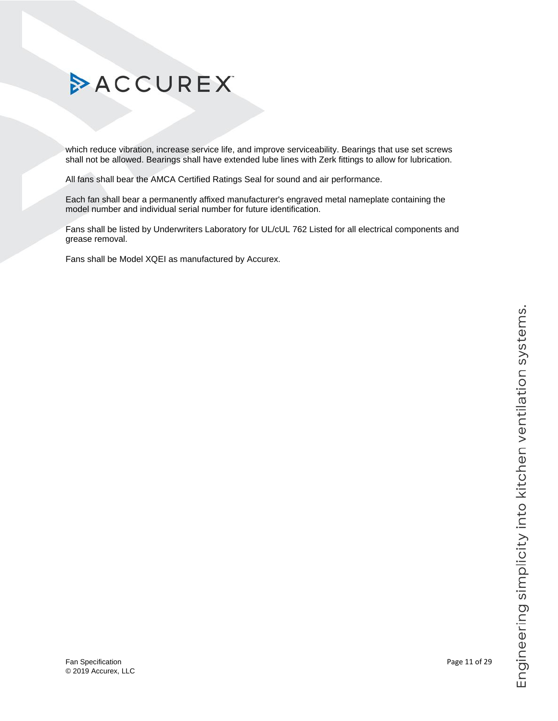# Engineering simplicity into kitchen ventilation systems.

# ACCUREX

which reduce vibration, increase service life, and improve serviceability. Bearings that use set screws shall not be allowed. Bearings shall have extended lube lines with Zerk fittings to allow for lubrication.

All fans shall bear the AMCA Certified Ratings Seal for sound and air performance.

Each fan shall bear a permanently affixed manufacturer's engraved metal nameplate containing the model number and individual serial number for future identification.

Fans shall be listed by Underwriters Laboratory for UL/cUL 762 Listed for all electrical components and grease removal.

Fans shall be Model XQEI as manufactured by Accurex.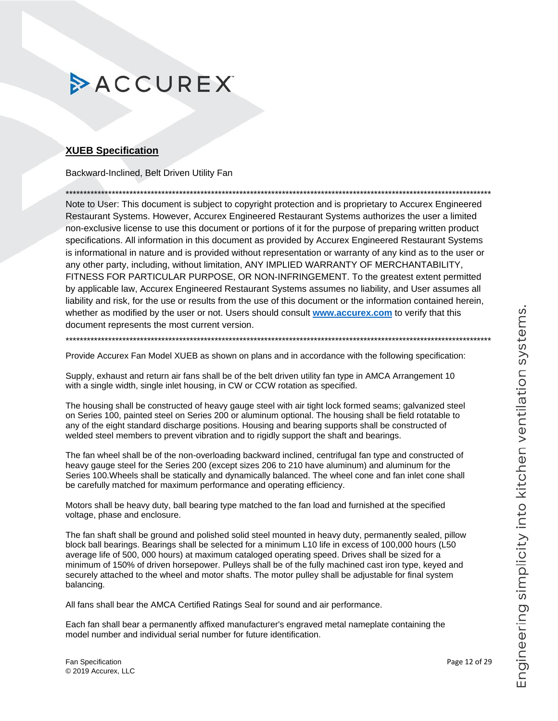### <span id="page-11-0"></span>**XUEB Specification**

Backward-Inclined, Belt Driven Utility Fan

Note to User: This document is subject to copyright protection and is proprietary to Accurex Engineered Restaurant Systems. However, Accurex Engineered Restaurant Systems authorizes the user a limited non-exclusive license to use this document or portions of it for the purpose of preparing written product specifications. All information in this document as provided by Accurex Engineered Restaurant Systems is informational in nature and is provided without representation or warranty of any kind as to the user or any other party, including, without limitation, ANY IMPLIED WARRANTY OF MERCHANTABILITY, FITNESS FOR PARTICULAR PURPOSE, OR NON-INFRINGEMENT. To the greatest extent permitted by applicable law, Accurex Engineered Restaurant Systems assumes no liability, and User assumes all liability and risk, for the use or results from the use of this document or the information contained herein, whether as modified by the user or not. Users should consult www.accurex.com to verify that this document represents the most current version.

Provide Accurex Fan Model XUEB as shown on plans and in accordance with the following specification:

Supply, exhaust and return air fans shall be of the belt driven utility fan type in AMCA Arrangement 10 with a single width, single inlet housing, in CW or CCW rotation as specified.

The housing shall be constructed of heavy gauge steel with air tight lock formed seams; galvanized steel on Series 100, painted steel on Series 200 or aluminum optional. The housing shall be field rotatable to any of the eight standard discharge positions. Housing and bearing supports shall be constructed of welded steel members to prevent vibration and to rigidly support the shaft and bearings.

The fan wheel shall be of the non-overloading backward inclined, centrifugal fan type and constructed of heavy gauge steel for the Series 200 (except sizes 206 to 210 have aluminum) and aluminum for the Series 100. Wheels shall be statically and dynamically balanced. The wheel cone and fan inlet cone shall be carefully matched for maximum performance and operating efficiency.

Motors shall be heavy duty, ball bearing type matched to the fan load and furnished at the specified voltage, phase and enclosure.

The fan shaft shall be ground and polished solid steel mounted in heavy duty, permanently sealed, pillow block ball bearings. Bearings shall be selected for a minimum L10 life in excess of 100,000 hours (L50 average life of 500, 000 hours) at maximum cataloged operating speed. Drives shall be sized for a minimum of 150% of driven horsepower. Pulleys shall be of the fully machined cast iron type, keyed and securely attached to the wheel and motor shafts. The motor pulley shall be adjustable for final system balancing.

All fans shall bear the AMCA Certified Ratings Seal for sound and air performance.

Each fan shall bear a permanently affixed manufacturer's engraved metal nameplate containing the model number and individual serial number for future identification.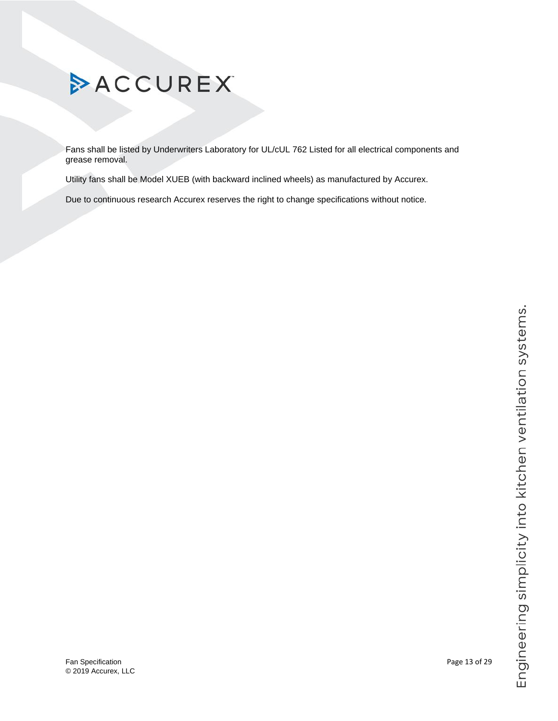Fans shall be listed by Underwriters Laboratory for UL/cUL 762 Listed for all electrical components and grease removal.

Utility fans shall be Model XUEB (with backward inclined wheels) as manufactured by Accurex.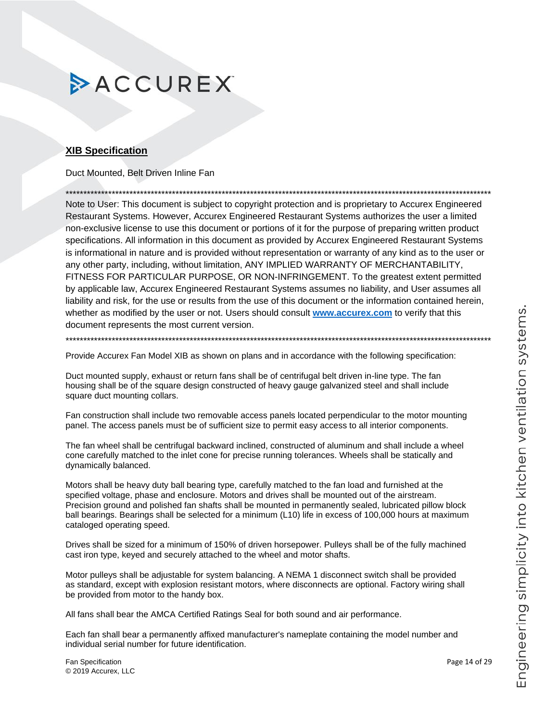### <span id="page-13-0"></span>**XIB Specification**

Duct Mounted. Belt Driven Inline Fan

Note to User: This document is subject to copyright protection and is proprietary to Accurex Engineered Restaurant Systems. However, Accurex Engineered Restaurant Systems authorizes the user a limited non-exclusive license to use this document or portions of it for the purpose of preparing written product specifications. All information in this document as provided by Accurex Engineered Restaurant Systems is informational in nature and is provided without representation or warranty of any kind as to the user or any other party, including, without limitation, ANY IMPLIED WARRANTY OF MERCHANTABILITY, FITNESS FOR PARTICULAR PURPOSE, OR NON-INFRINGEMENT. To the greatest extent permitted by applicable law, Accurex Engineered Restaurant Systems assumes no liability, and User assumes all liability and risk, for the use or results from the use of this document or the information contained herein, whether as modified by the user or not. Users should consult www.accurex.com to verify that this document represents the most current version.

Provide Accurex Fan Model XIB as shown on plans and in accordance with the following specification:

Duct mounted supply, exhaust or return fans shall be of centrifugal belt driven in-line type. The fan housing shall be of the square design constructed of heavy gauge galvanized steel and shall include square duct mounting collars.

Fan construction shall include two removable access panels located perpendicular to the motor mounting panel. The access panels must be of sufficient size to permit easy access to all interior components.

The fan wheel shall be centrifugal backward inclined, constructed of aluminum and shall include a wheel cone carefully matched to the inlet cone for precise running tolerances. Wheels shall be statically and dynamically balanced.

Motors shall be heavy duty ball bearing type, carefully matched to the fan load and furnished at the specified voltage, phase and enclosure. Motors and drives shall be mounted out of the airstream. Precision ground and polished fan shafts shall be mounted in permanently sealed, lubricated pillow block ball bearings. Bearings shall be selected for a minimum (L10) life in excess of 100,000 hours at maximum cataloged operating speed.

Drives shall be sized for a minimum of 150% of driven horsepower. Pulleys shall be of the fully machined cast iron type, keyed and securely attached to the wheel and motor shafts.

Motor pulleys shall be adjustable for system balancing. A NEMA 1 disconnect switch shall be provided as standard, except with explosion resistant motors, where disconnects are optional. Factory wiring shall be provided from motor to the handy box.

All fans shall bear the AMCA Certified Ratings Seal for both sound and air performance.

Each fan shall bear a permanently affixed manufacturer's nameplate containing the model number and individual serial number for future identification.

Fan Specification © 2019 Accurex, LLC Page 14 of 29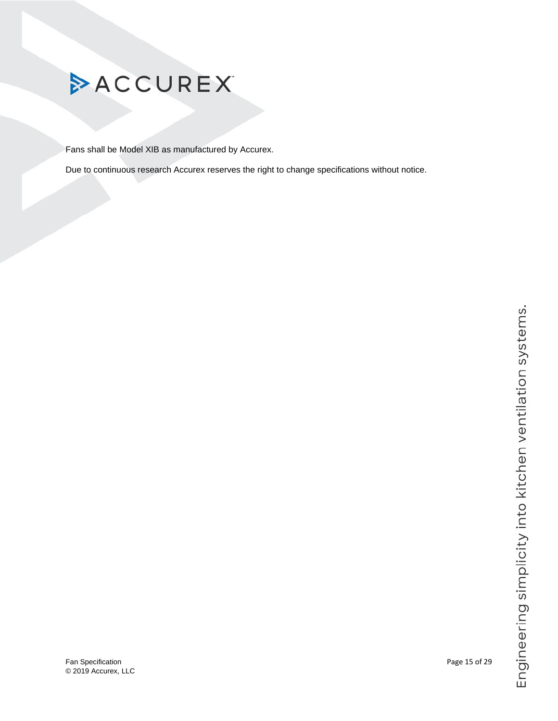

Fans shall be Model XIB as manufactured by Accurex.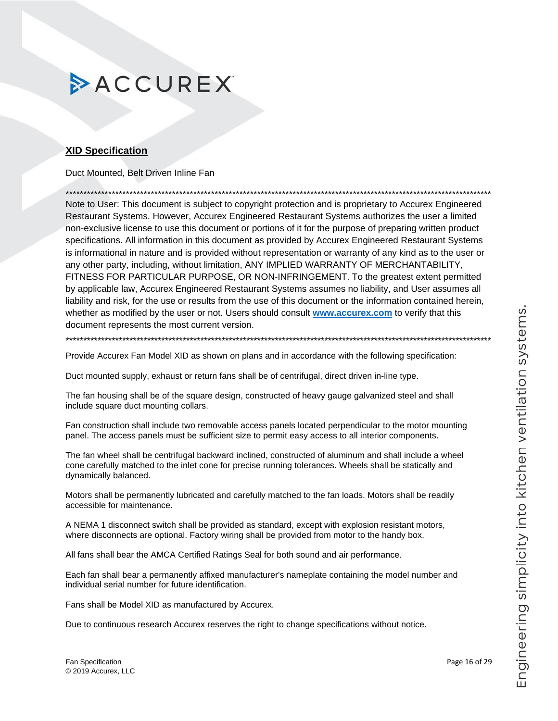### <span id="page-15-0"></span>**XID Specification**

Duct Mounted. Belt Driven Inline Fan

Note to User: This document is subject to copyright protection and is proprietary to Accurex Engineered Restaurant Systems. However, Accurex Engineered Restaurant Systems authorizes the user a limited non-exclusive license to use this document or portions of it for the purpose of preparing written product specifications. All information in this document as provided by Accurex Engineered Restaurant Systems is informational in nature and is provided without representation or warranty of any kind as to the user or any other party, including, without limitation, ANY IMPLIED WARRANTY OF MERCHANTABILITY, FITNESS FOR PARTICULAR PURPOSE, OR NON-INFRINGEMENT. To the greatest extent permitted by applicable law, Accurex Engineered Restaurant Systems assumes no liability, and User assumes all liability and risk, for the use or results from the use of this document or the information contained herein, whether as modified by the user or not. Users should consult www.accurex.com to verify that this document represents the most current version.

Provide Accurex Fan Model XID as shown on plans and in accordance with the following specification:

Duct mounted supply, exhaust or return fans shall be of centrifugal, direct driven in-line type.

The fan housing shall be of the square design, constructed of heavy gauge galvanized steel and shall include square duct mounting collars.

Fan construction shall include two removable access panels located perpendicular to the motor mounting panel. The access panels must be sufficient size to permit easy access to all interior components.

The fan wheel shall be centrifugal backward inclined, constructed of aluminum and shall include a wheel cone carefully matched to the inlet cone for precise running tolerances. Wheels shall be statically and dynamically balanced.

Motors shall be permanently lubricated and carefully matched to the fan loads. Motors shall be readily accessible for maintenance.

A NEMA 1 disconnect switch shall be provided as standard, except with explosion resistant motors, where disconnects are optional. Factory wiring shall be provided from motor to the handy box.

All fans shall bear the AMCA Certified Ratings Seal for both sound and air performance.

Each fan shall bear a permanently affixed manufacturer's nameplate containing the model number and individual serial number for future identification.

Fans shall be Model XID as manufactured by Accurex.

Due to continuous research Accurex reserves the right to change specifications without notice.

Page 16 of 29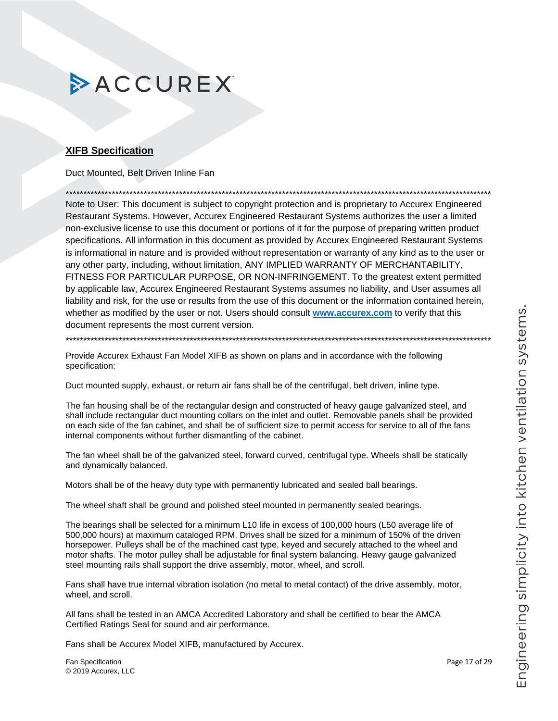### <span id="page-16-0"></span>**XIFB Specification**

Duct Mounted. Belt Driven Inline Fan

Note to User: This document is subject to copyright protection and is proprietary to Accurex Engineered Restaurant Systems. However, Accurex Engineered Restaurant Systems authorizes the user a limited non-exclusive license to use this document or portions of it for the purpose of preparing written product specifications. All information in this document as provided by Accurex Engineered Restaurant Systems is informational in nature and is provided without representation or warranty of any kind as to the user or any other party, including, without limitation, ANY IMPLIED WARRANTY OF MERCHANTABILITY, FITNESS FOR PARTICULAR PURPOSE, OR NON-INFRINGEMENT. To the greatest extent permitted by applicable law, Accurex Engineered Restaurant Systems assumes no liability, and User assumes all liability and risk, for the use or results from the use of this document or the information contained herein, whether as modified by the user or not. Users should consult www.accurex.com to verify that this document represents the most current version.

Provide Accurex Exhaust Fan Model XIFB as shown on plans and in accordance with the following specification:

Duct mounted supply, exhaust, or return air fans shall be of the centrifugal, belt driven, inline type.

The fan housing shall be of the rectangular design and constructed of heavy gauge galvanized steel, and shall include rectangular duct mounting collars on the inlet and outlet. Removable panels shall be provided on each side of the fan cabinet, and shall be of sufficient size to permit access for service to all of the fans internal components without further dismantling of the cabinet.

The fan wheel shall be of the galvanized steel, forward curved, centrifugal type. Wheels shall be statically and dynamically balanced.

Motors shall be of the heavy duty type with permanently lubricated and sealed ball bearings.

The wheel shaft shall be ground and polished steel mounted in permanently sealed bearings.

The bearings shall be selected for a minimum L10 life in excess of 100,000 hours (L50 average life of 500,000 hours) at maximum cataloged RPM. Drives shall be sized for a minimum of 150% of the driven horsepower. Pulleys shall be of the machined cast type, keyed and securely attached to the wheel and motor shafts. The motor pulley shall be adjustable for final system balancing. Heavy gauge galvanized steel mounting rails shall support the drive assembly, motor, wheel, and scroll.

Fans shall have true internal vibration isolation (no metal to metal contact) of the drive assembly, motor, wheel, and scroll.

All fans shall be tested in an AMCA Accredited Laboratory and shall be certified to bear the AMCA Certified Ratings Seal for sound and air performance.

Fans shall be Accurex Model XIFB, manufactured by Accurex.

Fan Specification © 2019 Accurex, LLC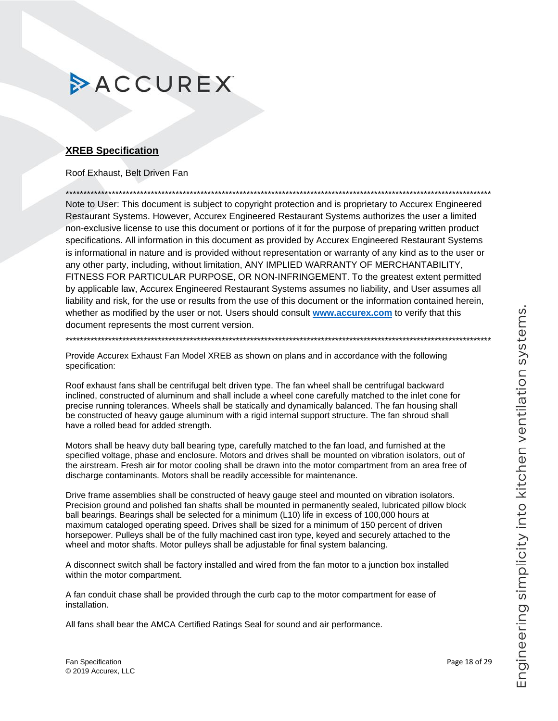### <span id="page-17-0"></span>**XREB Specification**

### Roof Exhaust, Belt Driven Fan

Note to User: This document is subject to copyright protection and is proprietary to Accurex Engineered Restaurant Systems. However, Accurex Engineered Restaurant Systems authorizes the user a limited non-exclusive license to use this document or portions of it for the purpose of preparing written product specifications. All information in this document as provided by Accurex Engineered Restaurant Systems is informational in nature and is provided without representation or warranty of any kind as to the user or any other party, including, without limitation, ANY IMPLIED WARRANTY OF MERCHANTABILITY, FITNESS FOR PARTICULAR PURPOSE, OR NON-INFRINGEMENT. To the greatest extent permitted by applicable law, Accurex Engineered Restaurant Systems assumes no liability, and User assumes all liability and risk, for the use or results from the use of this document or the information contained herein, whether as modified by the user or not. Users should consult www.accurex.com to verify that this document represents the most current version.

Provide Accurex Exhaust Fan Model XREB as shown on plans and in accordance with the following specification:

Roof exhaust fans shall be centrifugal belt driven type. The fan wheel shall be centrifugal backward inclined, constructed of aluminum and shall include a wheel cone carefully matched to the inlet cone for precise running tolerances. Wheels shall be statically and dynamically balanced. The fan housing shall be constructed of heavy gauge aluminum with a rigid internal support structure. The fan shroud shall have a rolled bead for added strength.

Motors shall be heavy duty ball bearing type, carefully matched to the fan load, and furnished at the specified voltage, phase and enclosure. Motors and drives shall be mounted on vibration isolators, out of the airstream. Fresh air for motor cooling shall be drawn into the motor compartment from an area free of discharge contaminants. Motors shall be readily accessible for maintenance.

Drive frame assemblies shall be constructed of heavy gauge steel and mounted on vibration isolators. Precision ground and polished fan shafts shall be mounted in permanently sealed, lubricated pillow block ball bearings. Bearings shall be selected for a minimum (L10) life in excess of 100,000 hours at maximum cataloged operating speed. Drives shall be sized for a minimum of 150 percent of driven horsepower. Pulleys shall be of the fully machined cast iron type, keyed and securely attached to the wheel and motor shafts. Motor pulleys shall be adjustable for final system balancing.

A disconnect switch shall be factory installed and wired from the fan motor to a junction box installed within the motor compartment.

A fan conduit chase shall be provided through the curb cap to the motor compartment for ease of installation.

All fans shall bear the AMCA Certified Ratings Seal for sound and air performance.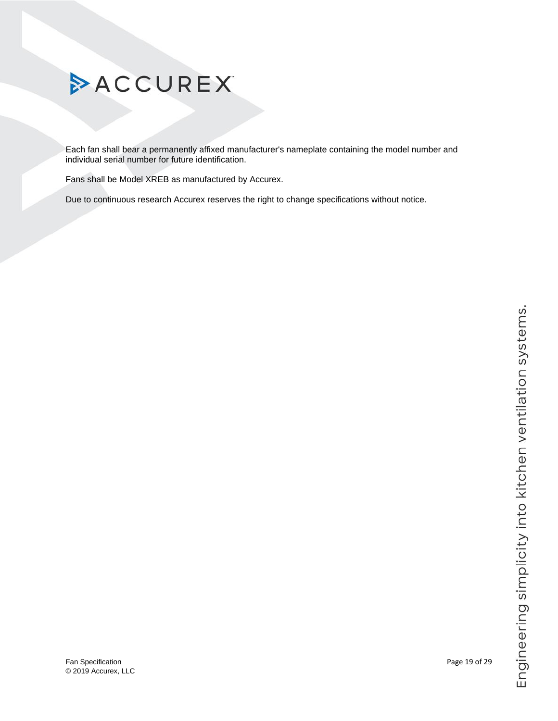

Each fan shall bear a permanently affixed manufacturer's nameplate containing the model number and individual serial number for future identification.

Fans shall be Model XREB as manufactured by Accurex.

Due to continuous research Accurex reserves the right to change specifications without notice.

Fan Specification **Page 19 of 29** Page 19 of 29 © 2019 Accurex, LLC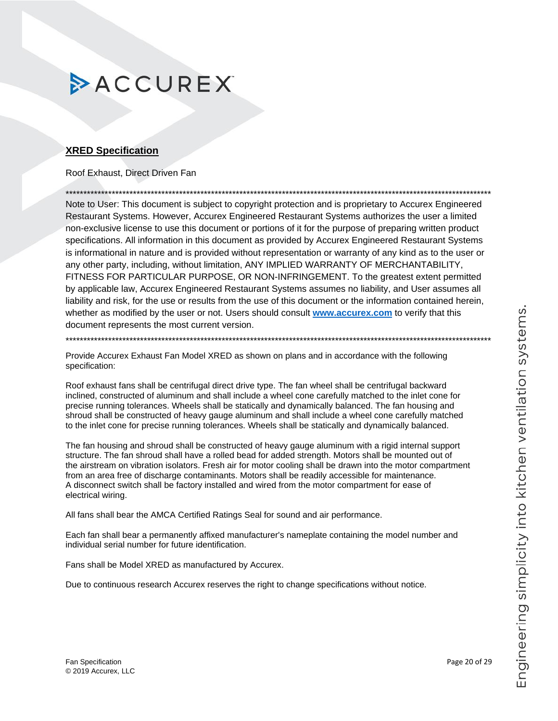### <span id="page-19-0"></span>**XRED Specification**

Roof Exhaust. Direct Driven Fan

Note to User: This document is subject to copyright protection and is proprietary to Accurex Engineered Restaurant Systems. However, Accurex Engineered Restaurant Systems authorizes the user a limited non-exclusive license to use this document or portions of it for the purpose of preparing written product specifications. All information in this document as provided by Accurex Engineered Restaurant Systems is informational in nature and is provided without representation or warranty of any kind as to the user or any other party, including, without limitation, ANY IMPLIED WARRANTY OF MERCHANTABILITY, FITNESS FOR PARTICULAR PURPOSE, OR NON-INFRINGEMENT. To the greatest extent permitted by applicable law, Accurex Engineered Restaurant Systems assumes no liability, and User assumes all liability and risk, for the use or results from the use of this document or the information contained herein, whether as modified by the user or not. Users should consult www.accurex.com to verify that this document represents the most current version.

Provide Accurex Exhaust Fan Model XRED as shown on plans and in accordance with the following specification:

Roof exhaust fans shall be centrifugal direct drive type. The fan wheel shall be centrifugal backward inclined, constructed of aluminum and shall include a wheel cone carefully matched to the inlet cone for precise running tolerances. Wheels shall be statically and dynamically balanced. The fan housing and shroud shall be constructed of heavy gauge aluminum and shall include a wheel cone carefully matched to the inlet cone for precise running tolerances. Wheels shall be statically and dynamically balanced.

The fan housing and shroud shall be constructed of heavy gauge aluminum with a rigid internal support structure. The fan shroud shall have a rolled bead for added strength. Motors shall be mounted out of the airstream on vibration isolators. Fresh air for motor cooling shall be drawn into the motor compartment from an area free of discharge contaminants. Motors shall be readily accessible for maintenance. A disconnect switch shall be factory installed and wired from the motor compartment for ease of electrical wiring.

All fans shall bear the AMCA Certified Ratings Seal for sound and air performance.

Each fan shall bear a permanently affixed manufacturer's nameplate containing the model number and individual serial number for future identification.

Fans shall be Model XRED as manufactured by Accurex.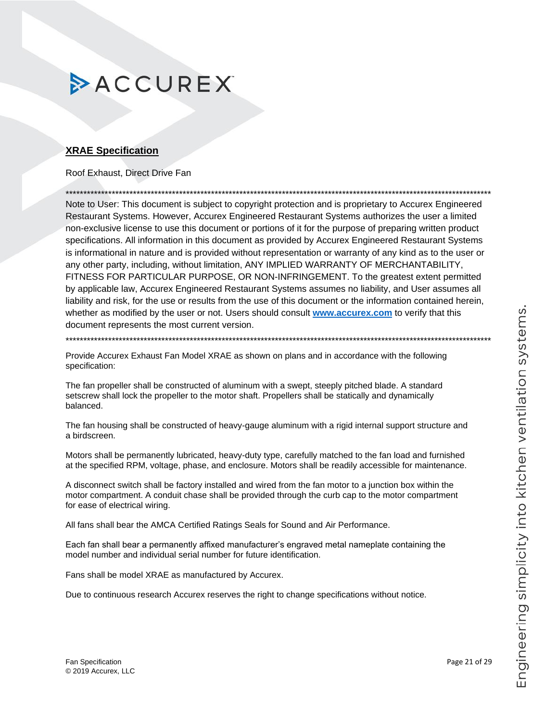### <span id="page-20-0"></span>**XRAE Specification**

Roof Exhaust. Direct Drive Fan

Note to User: This document is subject to copyright protection and is proprietary to Accurex Engineered Restaurant Systems. However, Accurex Engineered Restaurant Systems authorizes the user a limited non-exclusive license to use this document or portions of it for the purpose of preparing written product specifications. All information in this document as provided by Accurex Engineered Restaurant Systems is informational in nature and is provided without representation or warranty of any kind as to the user or any other party, including, without limitation, ANY IMPLIED WARRANTY OF MERCHANTABILITY, FITNESS FOR PARTICULAR PURPOSE, OR NON-INFRINGEMENT. To the greatest extent permitted by applicable law, Accurex Engineered Restaurant Systems assumes no liability, and User assumes all liability and risk, for the use or results from the use of this document or the information contained herein, whether as modified by the user or not. Users should consult www.accurex.com to verify that this document represents the most current version.

Provide Accurex Exhaust Fan Model XRAE as shown on plans and in accordance with the following specification:

The fan propeller shall be constructed of aluminum with a swept, steeply pitched blade. A standard setscrew shall lock the propeller to the motor shaft. Propellers shall be statically and dynamically balanced.

The fan housing shall be constructed of heavy-gauge aluminum with a rigid internal support structure and a birdscreen.

Motors shall be permanently lubricated, heavy-duty type, carefully matched to the fan load and furnished at the specified RPM, voltage, phase, and enclosure. Motors shall be readily accessible for maintenance.

A disconnect switch shall be factory installed and wired from the fan motor to a junction box within the motor compartment. A conduit chase shall be provided through the curb cap to the motor compartment for ease of electrical wiring.

All fans shall bear the AMCA Certified Ratings Seals for Sound and Air Performance.

Each fan shall bear a permanently affixed manufacturer's engraved metal nameplate containing the model number and individual serial number for future identification.

Fans shall be model XRAE as manufactured by Accurex.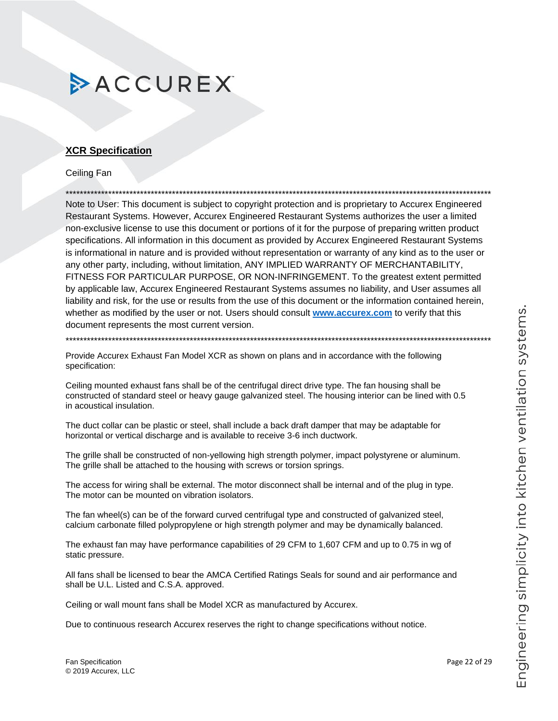### <span id="page-21-0"></span>**XCR Specification**

Ceiling Fan

Note to User: This document is subject to copyright protection and is proprietary to Accurex Engineered Restaurant Systems. However, Accurex Engineered Restaurant Systems authorizes the user a limited non-exclusive license to use this document or portions of it for the purpose of preparing written product specifications. All information in this document as provided by Accurex Engineered Restaurant Systems is informational in nature and is provided without representation or warranty of any kind as to the user or any other party, including, without limitation, ANY IMPLIED WARRANTY OF MERCHANTABILITY, FITNESS FOR PARTICULAR PURPOSE, OR NON-INFRINGEMENT. To the greatest extent permitted by applicable law, Accurex Engineered Restaurant Systems assumes no liability, and User assumes all liability and risk, for the use or results from the use of this document or the information contained herein, whether as modified by the user or not. Users should consult www.accurex.com to verify that this document represents the most current version.

Provide Accurex Exhaust Fan Model XCR as shown on plans and in accordance with the following specification:

Ceiling mounted exhaust fans shall be of the centrifugal direct drive type. The fan housing shall be constructed of standard steel or heavy gauge galvanized steel. The housing interior can be lined with 0.5 in acoustical insulation.

The duct collar can be plastic or steel, shall include a back draft damper that may be adaptable for horizontal or vertical discharge and is available to receive 3-6 inch ductwork.

The grille shall be constructed of non-yellowing high strength polymer, impact polystyrene or aluminum. The grille shall be attached to the housing with screws or torsion springs.

The access for wiring shall be external. The motor disconnect shall be internal and of the plug in type. The motor can be mounted on vibration isolators.

The fan wheel(s) can be of the forward curved centrifugal type and constructed of galvanized steel, calcium carbonate filled polypropylene or high strength polymer and may be dynamically balanced.

The exhaust fan may have performance capabilities of 29 CFM to 1,607 CFM and up to 0.75 in wg of static pressure.

All fans shall be licensed to bear the AMCA Certified Ratings Seals for sound and air performance and shall be U.L. Listed and C.S.A. approved.

Ceiling or wall mount fans shall be Model XCR as manufactured by Accurex.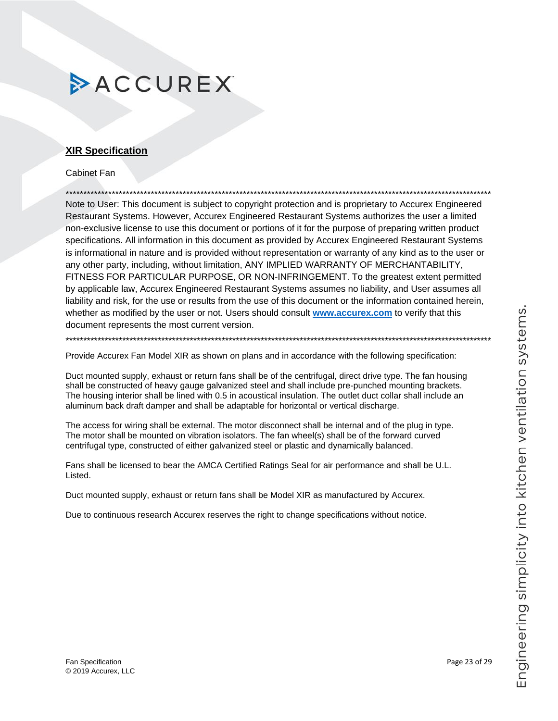# Engineering simplicity into kitchen ventilation systems.

# **ACCUREX**

### <span id="page-22-0"></span>**XIR Specification**

**Cabinet Fan** 

Note to User: This document is subject to copyright protection and is proprietary to Accurex Engineered Restaurant Systems. However, Accurex Engineered Restaurant Systems authorizes the user a limited non-exclusive license to use this document or portions of it for the purpose of preparing written product specifications. All information in this document as provided by Accurex Engineered Restaurant Systems is informational in nature and is provided without representation or warranty of any kind as to the user or any other party, including, without limitation, ANY IMPLIED WARRANTY OF MERCHANTABILITY, FITNESS FOR PARTICULAR PURPOSE, OR NON-INFRINGEMENT. To the greatest extent permitted by applicable law, Accurex Engineered Restaurant Systems assumes no liability, and User assumes all liability and risk, for the use or results from the use of this document or the information contained herein, whether as modified by the user or not. Users should consult www.accurex.com to verify that this document represents the most current version.

Provide Accurex Fan Model XIR as shown on plans and in accordance with the following specification:

Duct mounted supply, exhaust or return fans shall be of the centrifugal, direct drive type. The fan housing shall be constructed of heavy gauge galvanized steel and shall include pre-punched mounting brackets. The housing interior shall be lined with 0.5 in acoustical insulation. The outlet duct collar shall include an aluminum back draft damper and shall be adaptable for horizontal or vertical discharge.

The access for wiring shall be external. The motor disconnect shall be internal and of the plug in type. The motor shall be mounted on vibration isolators. The fan wheel(s) shall be of the forward curved centrifugal type, constructed of either galvanized steel or plastic and dynamically balanced.

Fans shall be licensed to bear the AMCA Certified Ratings Seal for air performance and shall be U.L. Listed.

Duct mounted supply, exhaust or return fans shall be Model XIR as manufactured by Accurex.

Due to continuous research Accurex reserves the right to change specifications without notice.

Page 23 of 29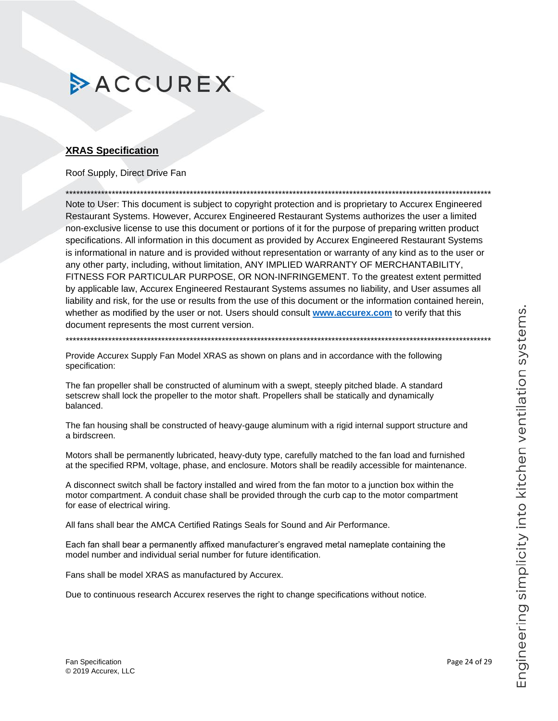### <span id="page-23-0"></span>**XRAS Specification**

### Roof Supply, Direct Drive Fan

Note to User: This document is subject to copyright protection and is proprietary to Accurex Engineered Restaurant Systems. However, Accurex Engineered Restaurant Systems authorizes the user a limited non-exclusive license to use this document or portions of it for the purpose of preparing written product specifications. All information in this document as provided by Accurex Engineered Restaurant Systems is informational in nature and is provided without representation or warranty of any kind as to the user or any other party, including, without limitation, ANY IMPLIED WARRANTY OF MERCHANTABILITY, FITNESS FOR PARTICULAR PURPOSE, OR NON-INFRINGEMENT. To the greatest extent permitted by applicable law, Accurex Engineered Restaurant Systems assumes no liability, and User assumes all liability and risk, for the use or results from the use of this document or the information contained herein, whether as modified by the user or not. Users should consult www.accurex.com to verify that this document represents the most current version.

Provide Accurex Supply Fan Model XRAS as shown on plans and in accordance with the following specification:

The fan propeller shall be constructed of aluminum with a swept, steeply pitched blade. A standard setscrew shall lock the propeller to the motor shaft. Propellers shall be statically and dynamically balanced.

The fan housing shall be constructed of heavy-gauge aluminum with a rigid internal support structure and a birdscreen.

Motors shall be permanently lubricated, heavy-duty type, carefully matched to the fan load and furnished at the specified RPM, voltage, phase, and enclosure. Motors shall be readily accessible for maintenance.

A disconnect switch shall be factory installed and wired from the fan motor to a junction box within the motor compartment. A conduit chase shall be provided through the curb cap to the motor compartment for ease of electrical wiring.

All fans shall bear the AMCA Certified Ratings Seals for Sound and Air Performance.

Each fan shall bear a permanently affixed manufacturer's engraved metal nameplate containing the model number and individual serial number for future identification.

Fans shall be model XRAS as manufactured by Accurex.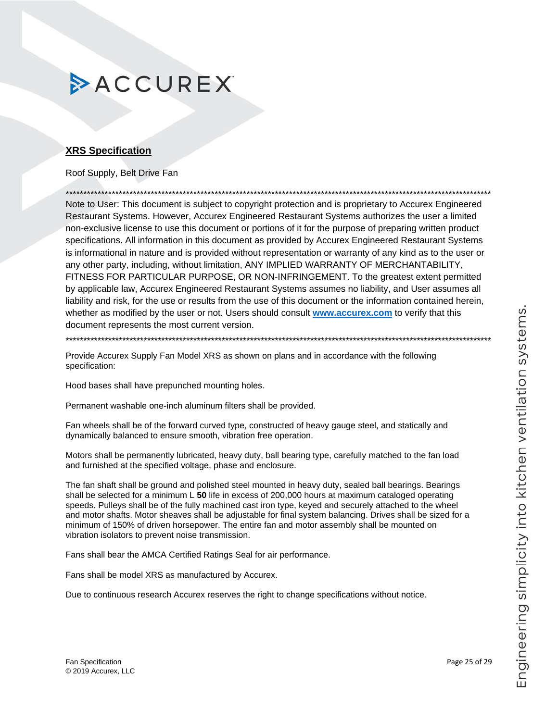### <span id="page-24-0"></span>**XRS Specification**

### Roof Supply, Belt Drive Fan

Note to User: This document is subject to copyright protection and is proprietary to Accurex Engineered Restaurant Systems. However, Accurex Engineered Restaurant Systems authorizes the user a limited non-exclusive license to use this document or portions of it for the purpose of preparing written product specifications. All information in this document as provided by Accurex Engineered Restaurant Systems is informational in nature and is provided without representation or warranty of any kind as to the user or any other party, including, without limitation, ANY IMPLIED WARRANTY OF MERCHANTABILITY, FITNESS FOR PARTICULAR PURPOSE, OR NON-INFRINGEMENT. To the greatest extent permitted by applicable law, Accurex Engineered Restaurant Systems assumes no liability, and User assumes all liability and risk, for the use or results from the use of this document or the information contained herein, whether as modified by the user or not. Users should consult www.accurex.com to verify that this document represents the most current version.

Provide Accurex Supply Fan Model XRS as shown on plans and in accordance with the following specification:

Hood bases shall have prepunched mounting holes.

Permanent washable one-inch aluminum filters shall be provided.

Fan wheels shall be of the forward curved type, constructed of heavy gauge steel, and statically and dynamically balanced to ensure smooth, vibration free operation.

Motors shall be permanently lubricated, heavy duty, ball bearing type, carefully matched to the fan load and furnished at the specified voltage, phase and enclosure.

The fan shaft shall be ground and polished steel mounted in heavy duty, sealed ball bearings. Bearings shall be selected for a minimum  $L$  50 life in excess of 200,000 hours at maximum cataloged operating speeds. Pulleys shall be of the fully machined cast iron type, keyed and securely attached to the wheel and motor shafts. Motor sheaves shall be adjustable for final system balancing. Drives shall be sized for a minimum of 150% of driven horsepower. The entire fan and motor assembly shall be mounted on vibration isolators to prevent noise transmission.

Fans shall bear the AMCA Certified Ratings Seal for air performance.

Fans shall be model XRS as manufactured by Accurex.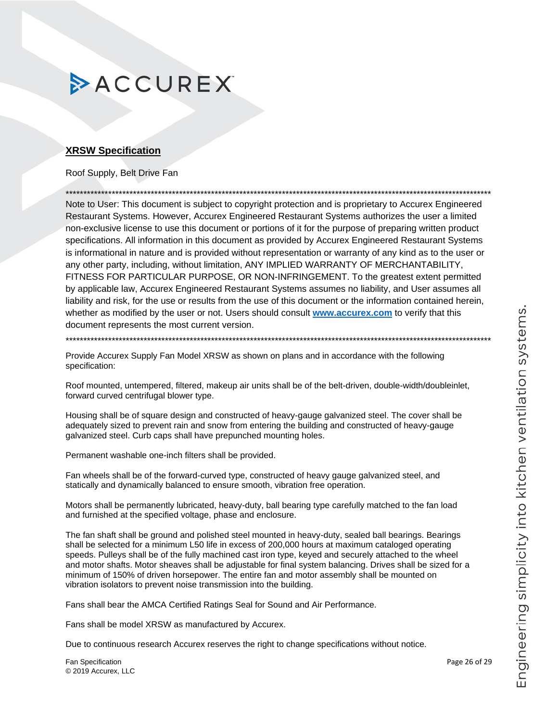### <span id="page-25-0"></span>**XRSW Specification**

### Roof Supply, Belt Drive Fan

Note to User: This document is subject to copyright protection and is proprietary to Accurex Engineered Restaurant Systems. However, Accurex Engineered Restaurant Systems authorizes the user a limited non-exclusive license to use this document or portions of it for the purpose of preparing written product specifications. All information in this document as provided by Accurex Engineered Restaurant Systems is informational in nature and is provided without representation or warranty of any kind as to the user or any other party, including, without limitation, ANY IMPLIED WARRANTY OF MERCHANTABILITY, FITNESS FOR PARTICULAR PURPOSE, OR NON-INFRINGEMENT. To the greatest extent permitted by applicable law, Accurex Engineered Restaurant Systems assumes no liability, and User assumes all liability and risk, for the use or results from the use of this document or the information contained herein, whether as modified by the user or not. Users should consult www.accurex.com to verify that this document represents the most current version.

Provide Accurex Supply Fan Model XRSW as shown on plans and in accordance with the following specification:

Roof mounted, untempered, filtered, makeup air units shall be of the belt-driven, double-width/doubleinlet, forward curved centrifugal blower type.

Housing shall be of square design and constructed of heavy-gauge galvanized steel. The cover shall be adequately sized to prevent rain and snow from entering the building and constructed of heavy-gauge galvanized steel. Curb caps shall have prepunched mounting holes.

Permanent washable one-inch filters shall be provided.

Fan wheels shall be of the forward-curved type, constructed of heavy gauge galvanized steel, and statically and dynamically balanced to ensure smooth, vibration free operation.

Motors shall be permanently lubricated, heavy-duty, ball bearing type carefully matched to the fan load and furnished at the specified voltage, phase and enclosure.

The fan shaft shall be ground and polished steel mounted in heavy-duty, sealed ball bearings. Bearings shall be selected for a minimum L50 life in excess of 200,000 hours at maximum cataloged operating speeds. Pulleys shall be of the fully machined cast iron type, keyed and securely attached to the wheel and motor shafts. Motor sheaves shall be adjustable for final system balancing. Drives shall be sized for a minimum of 150% of driven horsepower. The entire fan and motor assembly shall be mounted on vibration isolators to prevent noise transmission into the building.

Fans shall bear the AMCA Certified Ratings Seal for Sound and Air Performance.

Fans shall be model XRSW as manufactured by Accurex.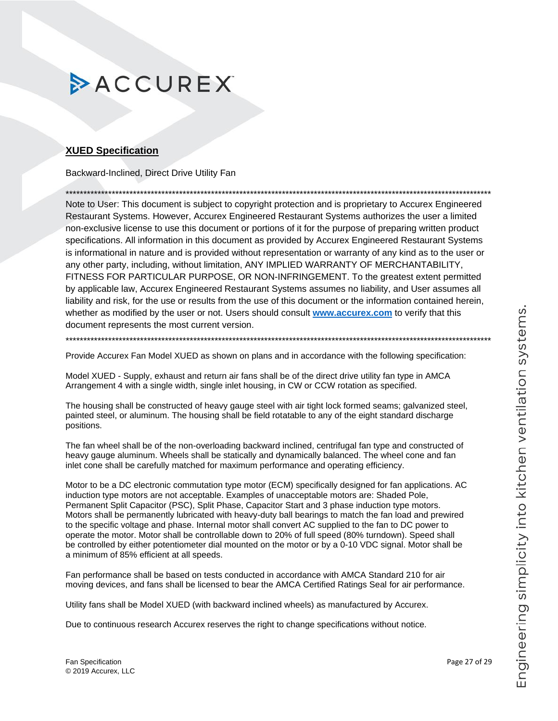### <span id="page-26-0"></span>**XUED Specification**

Backward-Inclined, Direct Drive Utility Fan

Note to User: This document is subject to copyright protection and is proprietary to Accurex Engineered Restaurant Systems. However, Accurex Engineered Restaurant Systems authorizes the user a limited non-exclusive license to use this document or portions of it for the purpose of preparing written product specifications. All information in this document as provided by Accurex Engineered Restaurant Systems is informational in nature and is provided without representation or warranty of any kind as to the user or any other party, including, without limitation, ANY IMPLIED WARRANTY OF MERCHANTABILITY, FITNESS FOR PARTICULAR PURPOSE, OR NON-INFRINGEMENT. To the greatest extent permitted by applicable law, Accurex Engineered Restaurant Systems assumes no liability, and User assumes all liability and risk, for the use or results from the use of this document or the information contained herein, whether as modified by the user or not. Users should consult www.accurex.com to verify that this document represents the most current version.

Provide Accurex Fan Model XUED as shown on plans and in accordance with the following specification:

Model XUED - Supply, exhaust and return air fans shall be of the direct drive utility fan type in AMCA Arrangement 4 with a single width, single inlet housing, in CW or CCW rotation as specified.

The housing shall be constructed of heavy gauge steel with air tight lock formed seams; galvanized steel, painted steel, or aluminum. The housing shall be field rotatable to any of the eight standard discharge positions.

The fan wheel shall be of the non-overloading backward inclined, centrifugal fan type and constructed of heavy gauge aluminum. Wheels shall be statically and dynamically balanced. The wheel cone and fan inlet cone shall be carefully matched for maximum performance and operating efficiency.

Motor to be a DC electronic commutation type motor (ECM) specifically designed for fan applications. AC induction type motors are not acceptable. Examples of unacceptable motors are: Shaded Pole, Permanent Split Capacitor (PSC), Split Phase, Capacitor Start and 3 phase induction type motors. Motors shall be permanently lubricated with heavy-duty ball bearings to match the fan load and prewired to the specific voltage and phase. Internal motor shall convert AC supplied to the fan to DC power to operate the motor. Motor shall be controllable down to 20% of full speed (80% turndown). Speed shall be controlled by either potentiometer dial mounted on the motor or by a 0-10 VDC signal. Motor shall be a minimum of 85% efficient at all speeds.

Fan performance shall be based on tests conducted in accordance with AMCA Standard 210 for air moving devices, and fans shall be licensed to bear the AMCA Certified Ratings Seal for air performance.

Utility fans shall be Model XUED (with backward inclined wheels) as manufactured by Accurex.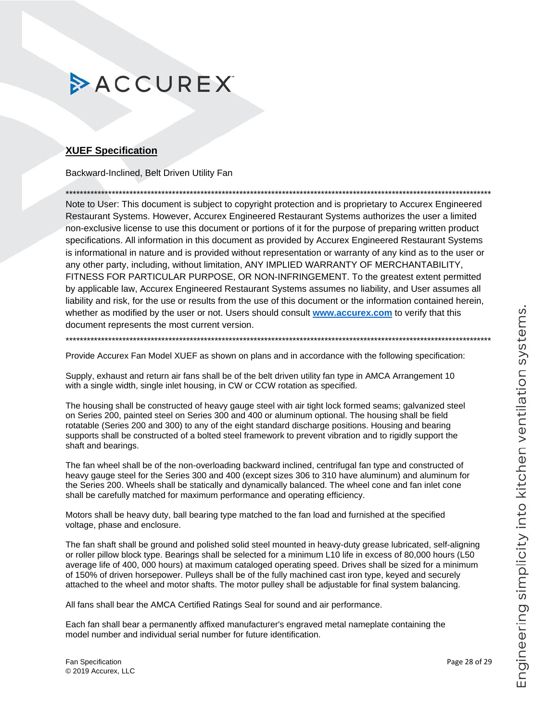### <span id="page-27-0"></span>**XUEF Specification**

Backward-Inclined, Belt Driven Utility Fan

Note to User: This document is subject to copyright protection and is proprietary to Accurex Engineered Restaurant Systems. However, Accurex Engineered Restaurant Systems authorizes the user a limited non-exclusive license to use this document or portions of it for the purpose of preparing written product specifications. All information in this document as provided by Accurex Engineered Restaurant Systems is informational in nature and is provided without representation or warranty of any kind as to the user or any other party, including, without limitation, ANY IMPLIED WARRANTY OF MERCHANTABILITY, FITNESS FOR PARTICULAR PURPOSE, OR NON-INFRINGEMENT. To the greatest extent permitted by applicable law, Accurex Engineered Restaurant Systems assumes no liability, and User assumes all liability and risk, for the use or results from the use of this document or the information contained herein, whether as modified by the user or not. Users should consult www.accurex.com to verify that this document represents the most current version.

Provide Accurex Fan Model XUEF as shown on plans and in accordance with the following specification:

Supply, exhaust and return air fans shall be of the belt driven utility fan type in AMCA Arrangement 10 with a single width, single inlet housing, in CW or CCW rotation as specified.

The housing shall be constructed of heavy gauge steel with air tight lock formed seams; galvanized steel on Series 200, painted steel on Series 300 and 400 or aluminum optional. The housing shall be field rotatable (Series 200 and 300) to any of the eight standard discharge positions. Housing and bearing supports shall be constructed of a bolted steel framework to prevent vibration and to rigidly support the shaft and bearings.

The fan wheel shall be of the non-overloading backward inclined, centrifugal fan type and constructed of heavy gauge steel for the Series 300 and 400 (except sizes 306 to 310 have aluminum) and aluminum for the Series 200. Wheels shall be statically and dynamically balanced. The wheel cone and fan inlet cone shall be carefully matched for maximum performance and operating efficiency.

Motors shall be heavy duty, ball bearing type matched to the fan load and furnished at the specified voltage, phase and enclosure.

The fan shaft shall be ground and polished solid steel mounted in heavy-duty grease lubricated, self-aligning or roller pillow block type. Bearings shall be selected for a minimum L10 life in excess of 80,000 hours (L50 average life of 400, 000 hours) at maximum cataloged operating speed. Drives shall be sized for a minimum of 150% of driven horsepower. Pulleys shall be of the fully machined cast iron type, keyed and securely attached to the wheel and motor shafts. The motor pulley shall be adjustable for final system balancing.

All fans shall bear the AMCA Certified Ratings Seal for sound and air performance.

Each fan shall bear a permanently affixed manufacturer's engraved metal nameplate containing the model number and individual serial number for future identification.